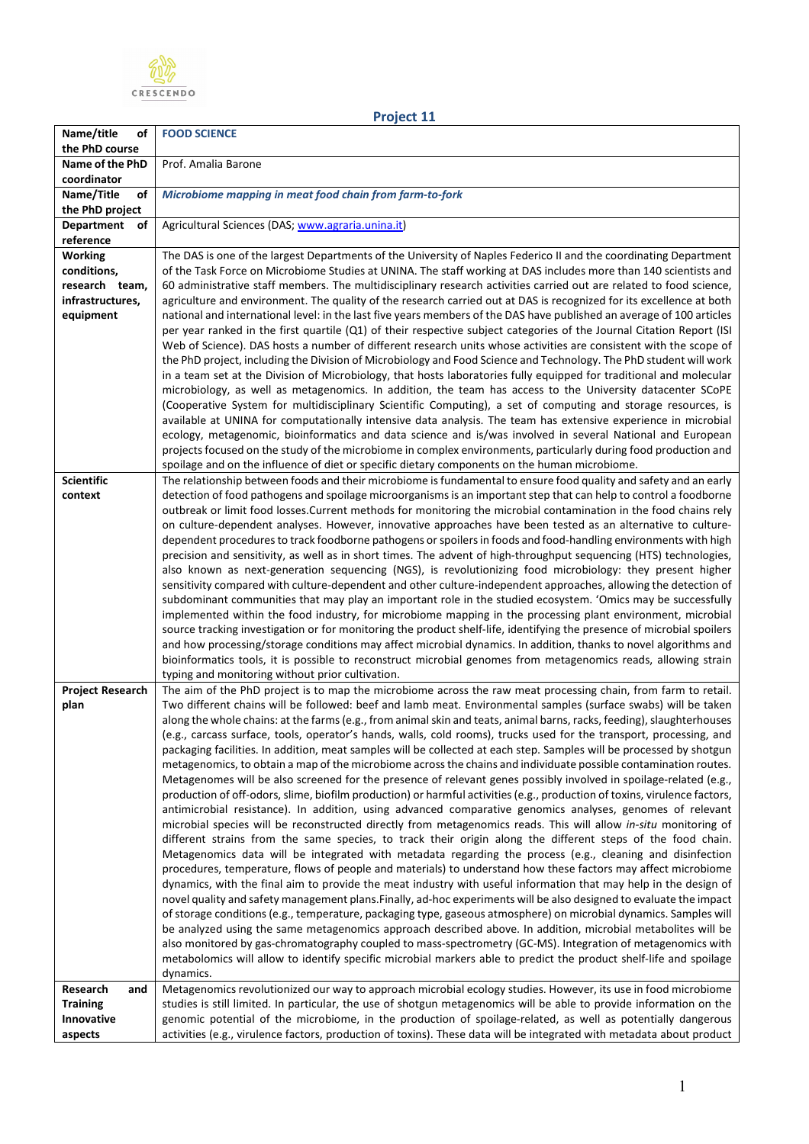

| Name/title<br>οf               | <b>FOOD SCIENCE</b>                                                                                                                                                                                                                           |
|--------------------------------|-----------------------------------------------------------------------------------------------------------------------------------------------------------------------------------------------------------------------------------------------|
| the PhD course                 |                                                                                                                                                                                                                                               |
| Name of the PhD<br>coordinator | Prof. Amalia Barone                                                                                                                                                                                                                           |
| Name/Title<br>οf               | Microbiome mapping in meat food chain from farm-to-fork                                                                                                                                                                                       |
| the PhD project                |                                                                                                                                                                                                                                               |
| Department of                  | Agricultural Sciences (DAS; www.agraria.unina.it)                                                                                                                                                                                             |
| reference                      |                                                                                                                                                                                                                                               |
| <b>Working</b>                 | The DAS is one of the largest Departments of the University of Naples Federico II and the coordinating Department                                                                                                                             |
| conditions,                    | of the Task Force on Microbiome Studies at UNINA. The staff working at DAS includes more than 140 scientists and                                                                                                                              |
| research team,                 | 60 administrative staff members. The multidisciplinary research activities carried out are related to food science,                                                                                                                           |
| infrastructures,               | agriculture and environment. The quality of the research carried out at DAS is recognized for its excellence at both                                                                                                                          |
| equipment                      | national and international level: in the last five years members of the DAS have published an average of 100 articles                                                                                                                         |
|                                | per year ranked in the first quartile (Q1) of their respective subject categories of the Journal Citation Report (ISI<br>Web of Science). DAS hosts a number of different research units whose activities are consistent with the scope of    |
|                                | the PhD project, including the Division of Microbiology and Food Science and Technology. The PhD student will work                                                                                                                            |
|                                | in a team set at the Division of Microbiology, that hosts laboratories fully equipped for traditional and molecular                                                                                                                           |
|                                | microbiology, as well as metagenomics. In addition, the team has access to the University datacenter SCoPE                                                                                                                                    |
|                                | (Cooperative System for multidisciplinary Scientific Computing), a set of computing and storage resources, is                                                                                                                                 |
|                                | available at UNINA for computationally intensive data analysis. The team has extensive experience in microbial                                                                                                                                |
|                                | ecology, metagenomic, bioinformatics and data science and is/was involved in several National and European                                                                                                                                    |
|                                | projects focused on the study of the microbiome in complex environments, particularly during food production and                                                                                                                              |
| <b>Scientific</b>              | spoilage and on the influence of diet or specific dietary components on the human microbiome.<br>The relationship between foods and their microbiome is fundamental to ensure food quality and safety and an early                            |
| context                        | detection of food pathogens and spoilage microorganisms is an important step that can help to control a foodborne                                                                                                                             |
|                                | outbreak or limit food losses. Current methods for monitoring the microbial contamination in the food chains rely                                                                                                                             |
|                                | on culture-dependent analyses. However, innovative approaches have been tested as an alternative to culture-                                                                                                                                  |
|                                | dependent procedures to track foodborne pathogens or spoilers in foods and food-handling environments with high                                                                                                                               |
|                                | precision and sensitivity, as well as in short times. The advent of high-throughput sequencing (HTS) technologies,                                                                                                                            |
|                                | also known as next-generation sequencing (NGS), is revolutionizing food microbiology: they present higher                                                                                                                                     |
|                                | sensitivity compared with culture-dependent and other culture-independent approaches, allowing the detection of                                                                                                                               |
|                                | subdominant communities that may play an important role in the studied ecosystem. 'Omics may be successfully<br>implemented within the food industry, for microbiome mapping in the processing plant environment, microbial                   |
|                                | source tracking investigation or for monitoring the product shelf-life, identifying the presence of microbial spoilers                                                                                                                        |
|                                | and how processing/storage conditions may affect microbial dynamics. In addition, thanks to novel algorithms and                                                                                                                              |
|                                | bioinformatics tools, it is possible to reconstruct microbial genomes from metagenomics reads, allowing strain                                                                                                                                |
|                                | typing and monitoring without prior cultivation.                                                                                                                                                                                              |
| <b>Project Research</b>        | The aim of the PhD project is to map the microbiome across the raw meat processing chain, from farm to retail.                                                                                                                                |
| plan                           | Two different chains will be followed: beef and lamb meat. Environmental samples (surface swabs) will be taken                                                                                                                                |
|                                | along the whole chains: at the farms (e.g., from animal skin and teats, animal barns, racks, feeding), slaughterhouses<br>(e.g., carcass surface, tools, operator's hands, walls, cold rooms), trucks used for the transport, processing, and |
|                                | packaging facilities. In addition, meat samples will be collected at each step. Samples will be processed by shotgun                                                                                                                          |
|                                | metagenomics, to obtain a map of the microbiome across the chains and individuate possible contamination routes.                                                                                                                              |
|                                | Metagenomes will be also screened for the presence of relevant genes possibly involved in spoilage-related (e.g.,                                                                                                                             |
|                                | production of off-odors, slime, biofilm production) or harmful activities (e.g., production of toxins, virulence factors,                                                                                                                     |
|                                | antimicrobial resistance). In addition, using advanced comparative genomics analyses, genomes of relevant                                                                                                                                     |
|                                | microbial species will be reconstructed directly from metagenomics reads. This will allow in-situ monitoring of                                                                                                                               |
|                                | different strains from the same species, to track their origin along the different steps of the food chain.<br>Metagenomics data will be integrated with metadata regarding the process (e.g., cleaning and disinfection                      |
|                                | procedures, temperature, flows of people and materials) to understand how these factors may affect microbiome                                                                                                                                 |
|                                | dynamics, with the final aim to provide the meat industry with useful information that may help in the design of                                                                                                                              |
|                                | novel quality and safety management plans. Finally, ad-hoc experiments will be also designed to evaluate the impact                                                                                                                           |
|                                | of storage conditions (e.g., temperature, packaging type, gaseous atmosphere) on microbial dynamics. Samples will                                                                                                                             |
|                                | be analyzed using the same metagenomics approach described above. In addition, microbial metabolites will be                                                                                                                                  |
|                                | also monitored by gas-chromatography coupled to mass-spectrometry (GC-MS). Integration of metagenomics with                                                                                                                                   |
|                                | metabolomics will allow to identify specific microbial markers able to predict the product shelf-life and spoilage                                                                                                                            |
| Research<br>and                | dynamics.<br>Metagenomics revolutionized our way to approach microbial ecology studies. However, its use in food microbiome                                                                                                                   |
| <b>Training</b>                | studies is still limited. In particular, the use of shotgun metagenomics will be able to provide information on the                                                                                                                           |
| Innovative                     | genomic potential of the microbiome, in the production of spoilage-related, as well as potentially dangerous                                                                                                                                  |
| aspects                        | activities (e.g., virulence factors, production of toxins). These data will be integrated with metadata about product                                                                                                                         |

**Project 11**